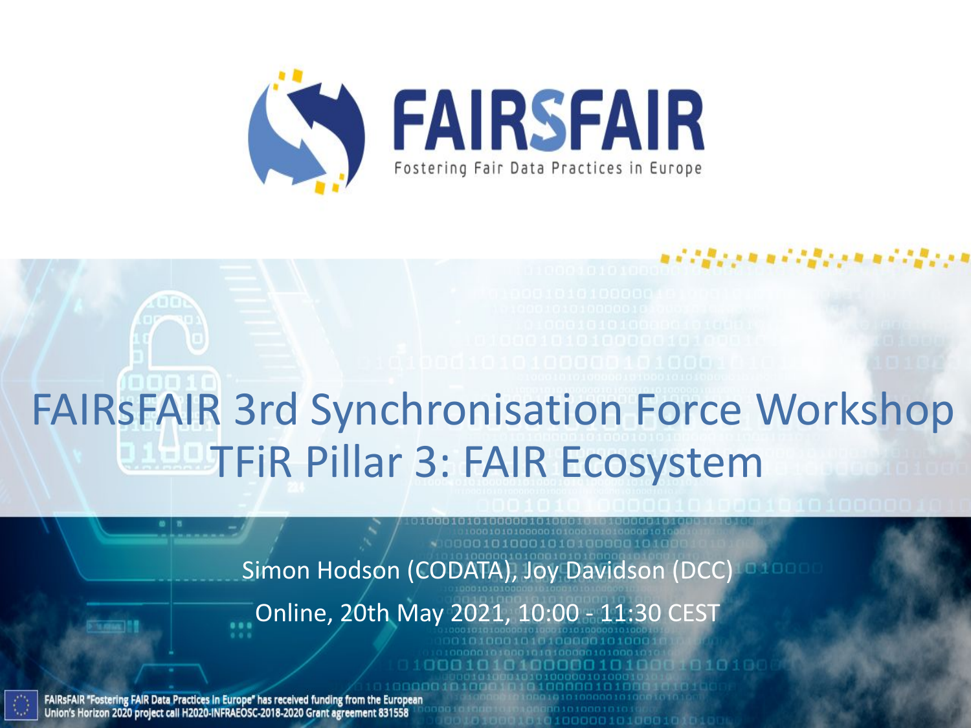

# FAIRsFAIR 3rd Synchronisation Force Workshop TFiR Pillar 3: FAIR Ecosystem

Simon Hodson (CODATA), Joy Davidson (DCC)

Online, 20th May 2021, 10:00 - 11:30 CEST

FAIRSFAIR "Fostering FAIR Data Practices in Europe" has received funding from the European Union's Horizon 2020 project call H2020-INFRAEOSC-2018-2020 Grant agreement 831558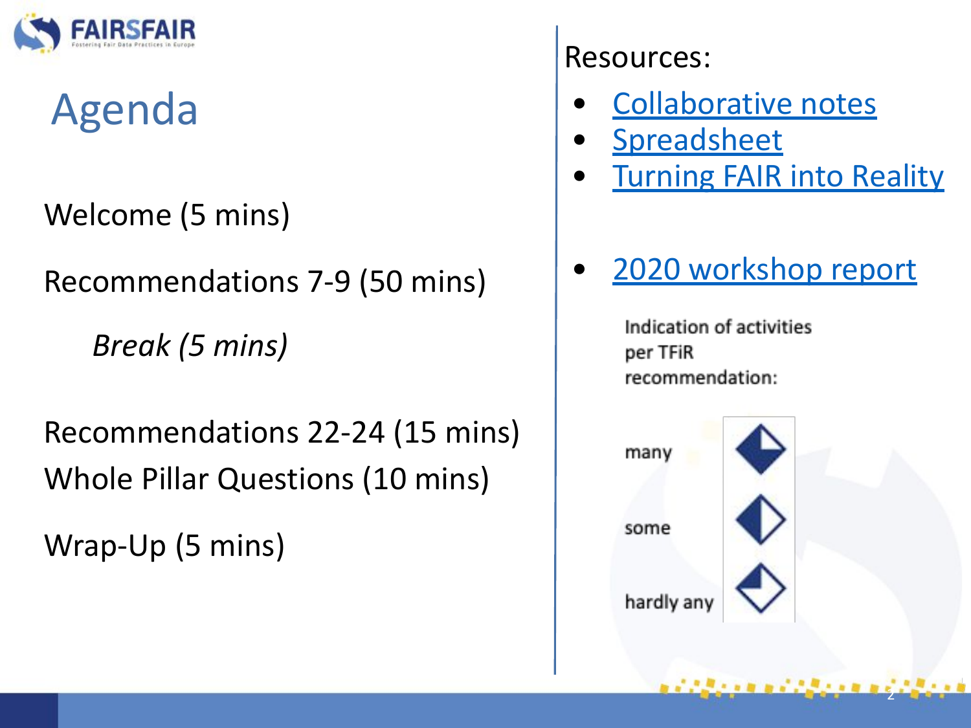

# Agenda

Welcome (5 mins)

Recommendations 7-9 (50 mins)

*Break (5 mins)* 

Recommendations 22-24 (15 mins) Whole Pillar Questions (10 mins)

Wrap-Up (5 mins)

## Resources:

- [Collaborative notes](https://docs.google.com/document/d/128N_LcRM7bPllx3EgdZovqjcSIYQyihAW-ce5YhSmZc/edit#)
- **[Spreadsheet](https://docs.google.com/spreadsheets/d/1gFm3XK4JEN5rdKEpq1HWpJM6iurckf6EByevXxR6wmE/edit?usp=sharing)**
- **[Turning FAIR into Reality](https://ec.europa.eu/info/sites/info/files/turning_fair_into_reality_1.pdf)**
- [2020 workshop report](https://www.fairsfair.eu/advisory-board/synchronisation-force)

Indication of activities per TFiR recommendation:



2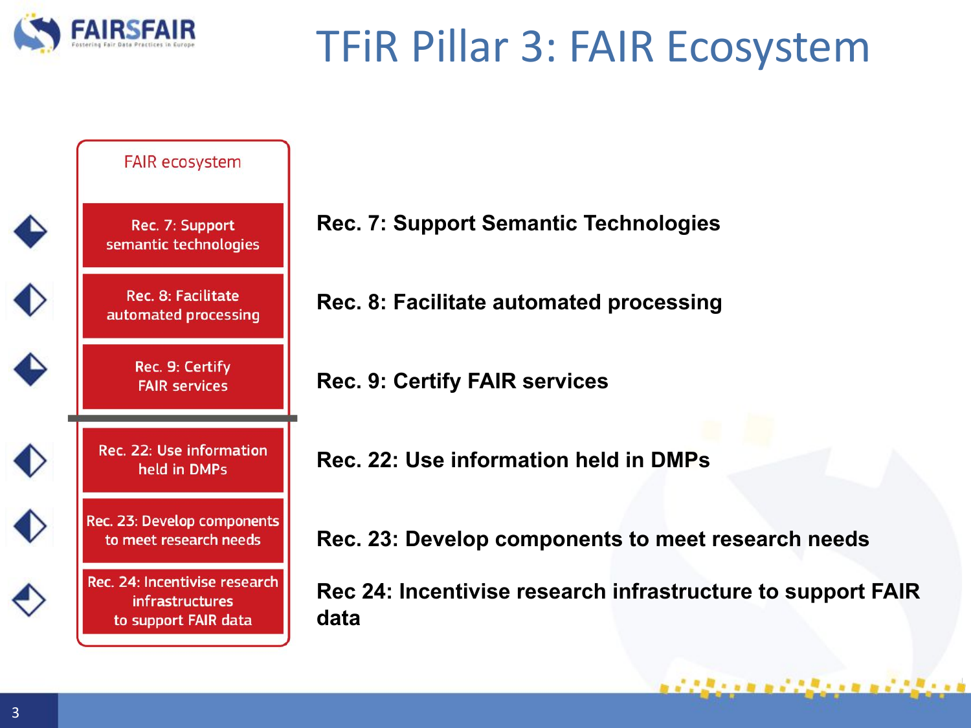

## TFiR Pillar 3: FAIR Ecosystem



- **Rec. 7: Support Semantic Technologies**
- **Rec. 8: Facilitate automated processing**
- **Rec. 9: Certify FAIR services**
- **Rec. 22: Use information held in DMPs**
- **Rec. 23: Develop components to meet research needs**

**Rec 24: Incentivise research infrastructure to support FAIR** 

アクタイトル エアクタイトル エアクタイト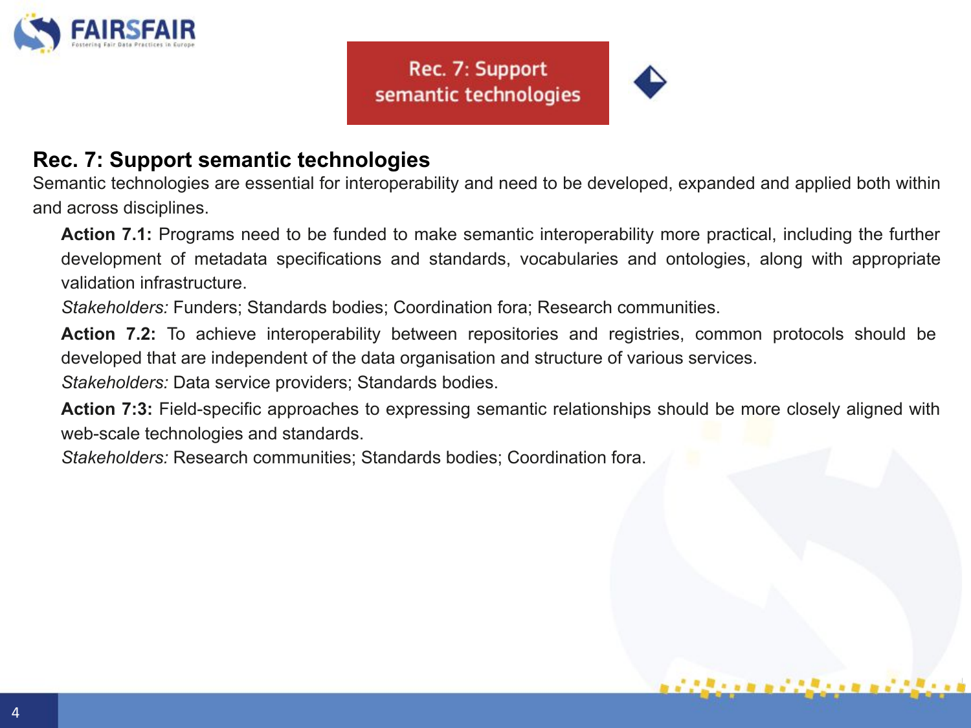

#### Rec. 7: Support semantic technologies



## **Rec. 7: Support semantic technologies**

Semantic technologies are essential for interoperability and need to be developed, expanded and applied both within and across disciplines.

**Action 7.1:** Programs need to be funded to make semantic interoperability more practical, including the further development of metadata specifications and standards, vocabularies and ontologies, along with appropriate validation infrastructure.

*Stakeholders:* Funders; Standards bodies; Coordination fora; Research communities.

**Action 7.2:** To achieve interoperability between repositories and registries, common protocols should be developed that are independent of the data organisation and structure of various services.

*Stakeholders:* Data service providers; Standards bodies.

**Action 7:3:** Field-specific approaches to expressing semantic relationships should be more closely aligned with web-scale technologies and standards.

*Stakeholders:* Research communities; Standards bodies; Coordination fora.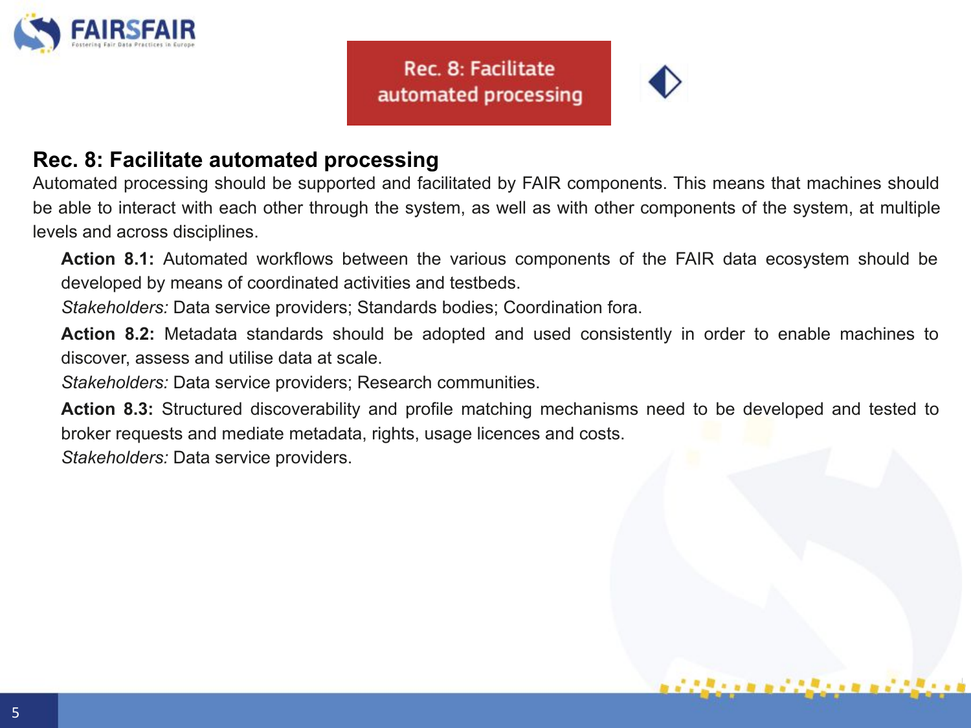

Rec. 8: Facilitate automated processing



#### **Rec. 8: Facilitate automated processing**

Automated processing should be supported and facilitated by FAIR components. This means that machines should be able to interact with each other through the system, as well as with other components of the system, at multiple levels and across disciplines.

**Action 8.1:** Automated workflows between the various components of the FAIR data ecosystem should be developed by means of coordinated activities and testbeds.

*Stakeholders:* Data service providers; Standards bodies; Coordination fora.

**Action 8.2:** Metadata standards should be adopted and used consistently in order to enable machines to discover, assess and utilise data at scale.

*Stakeholders:* Data service providers; Research communities.

**Action 8.3:** Structured discoverability and profile matching mechanisms need to be developed and tested to broker requests and mediate metadata, rights, usage licences and costs. *Stakeholders:* Data service providers.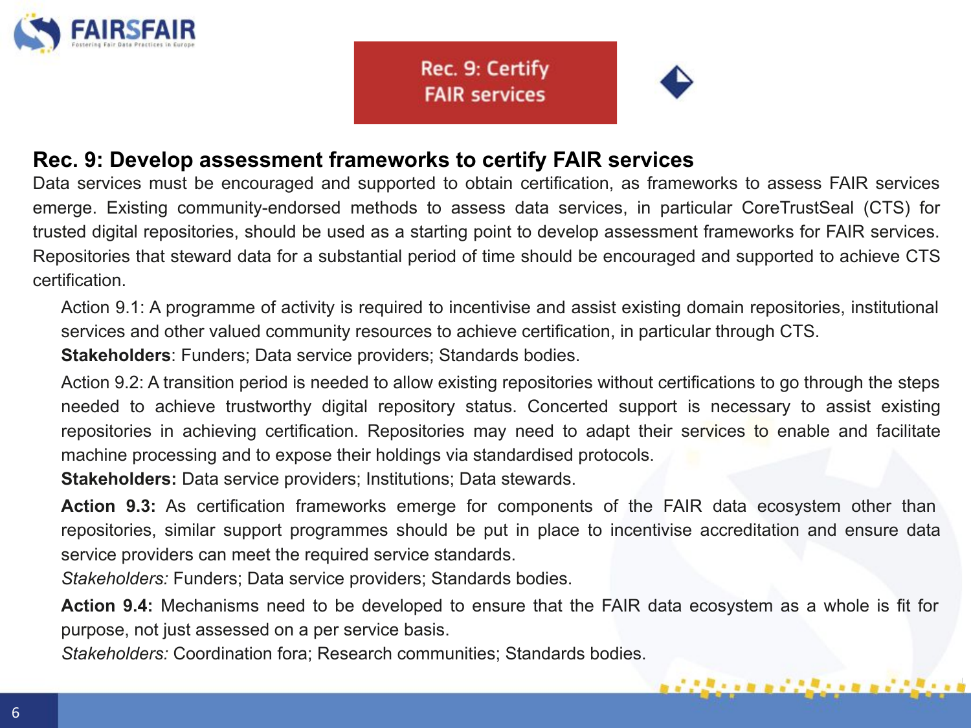

Rec. 9: Certify **FAIR services** 



i alian mendalam mendalam

#### **Rec. 9: Develop assessment frameworks to certify FAIR services**

Data services must be encouraged and supported to obtain certification, as frameworks to assess FAIR services emerge. Existing community-endorsed methods to assess data services, in particular CoreTrustSeal (CTS) for trusted digital repositories, should be used as a starting point to develop assessment frameworks for FAIR services. Repositories that steward data for a substantial period of time should be encouraged and supported to achieve CTS certification.

Action 9.1: A programme of activity is required to incentivise and assist existing domain repositories, institutional services and other valued community resources to achieve certification, in particular through CTS.

**Stakeholders**: Funders; Data service providers; Standards bodies.

Action 9.2: A transition period is needed to allow existing repositories without certifications to go through the steps needed to achieve trustworthy digital repository status. Concerted support is necessary to assist existing repositories in achieving certification. Repositories may need to adapt their services to enable and facilitate machine processing and to expose their holdings via standardised protocols.

**Stakeholders:** Data service providers; Institutions; Data stewards.

**Action 9.3:** As certification frameworks emerge for components of the FAIR data ecosystem other than repositories, similar support programmes should be put in place to incentivise accreditation and ensure data service providers can meet the required service standards.

*Stakeholders:* Funders; Data service providers; Standards bodies.

**Action 9.4:** Mechanisms need to be developed to ensure that the FAIR data ecosystem as a whole is fit for purpose, not just assessed on a per service basis.

*Stakeholders:* Coordination fora; Research communities; Standards bodies.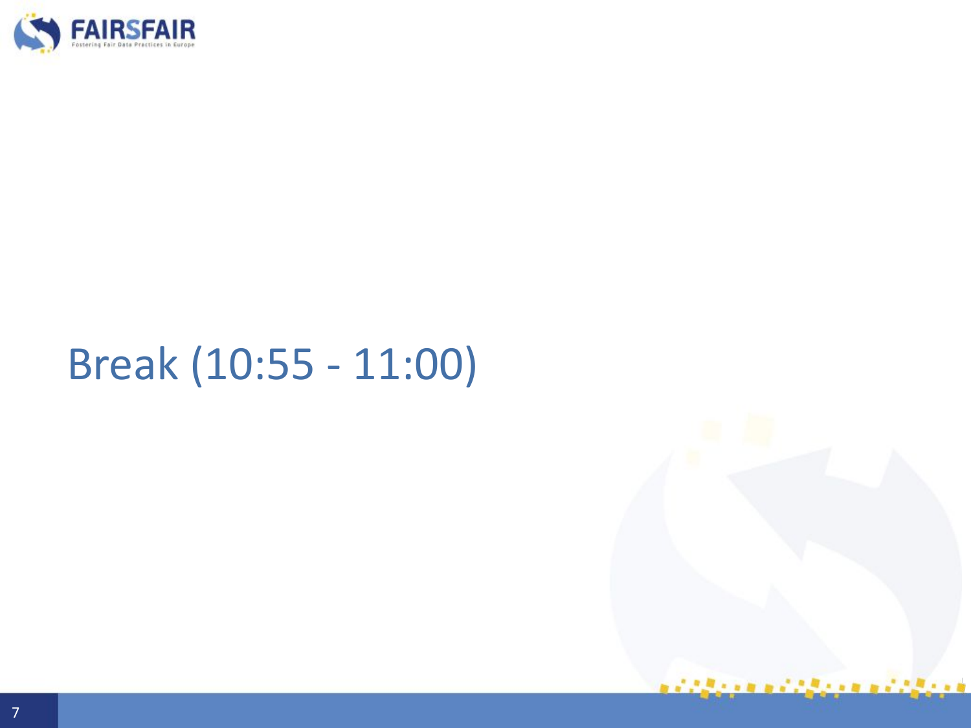

## Break (10:55 - 11:00)

i alian mendalam mendalam m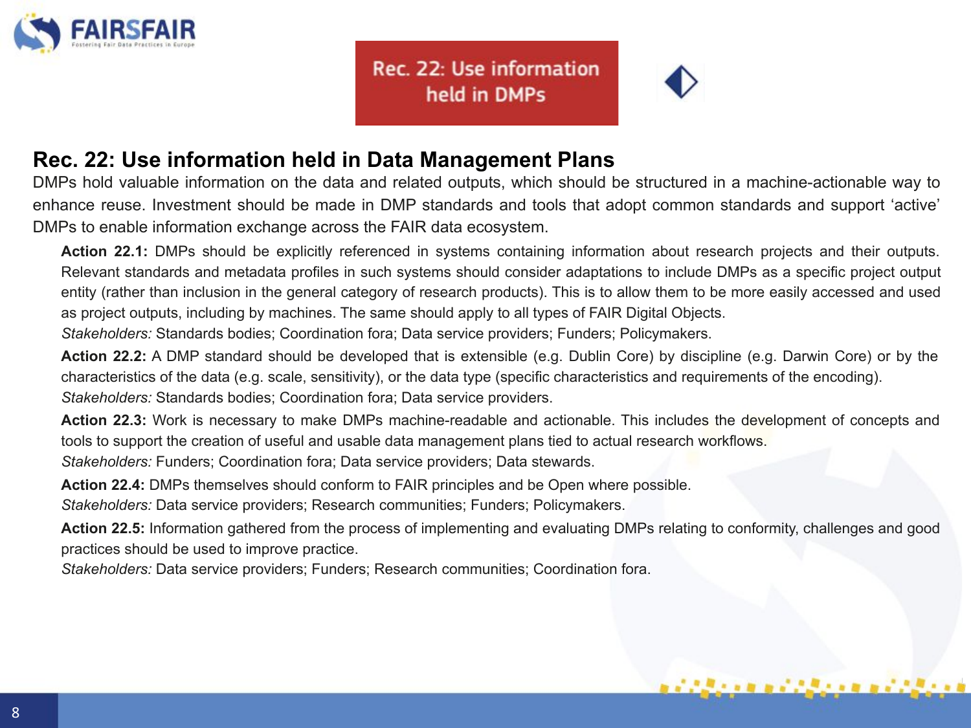

Rec. 22: Use information held in DMPs

### **Rec. 22: Use information held in Data Management Plans**

DMPs hold valuable information on the data and related outputs, which should be structured in a machine-actionable way to enhance reuse. Investment should be made in DMP standards and tools that adopt common standards and support 'active' DMPs to enable information exchange across the FAIR data ecosystem.

**Action 22.1:** DMPs should be explicitly referenced in systems containing information about research projects and their outputs. Relevant standards and metadata profiles in such systems should consider adaptations to include DMPs as a specific project output entity (rather than inclusion in the general category of research products). This is to allow them to be more easily accessed and used as project outputs, including by machines. The same should apply to all types of FAIR Digital Objects.

*Stakeholders:* Standards bodies; Coordination fora; Data service providers; Funders; Policymakers.

**Action 22.2:** A DMP standard should be developed that is extensible (e.g. Dublin Core) by discipline (e.g. Darwin Core) or by the characteristics of the data (e.g. scale, sensitivity), or the data type (specific characteristics and requirements of the encoding). *Stakeholders:* Standards bodies; Coordination fora; Data service providers.

**Action 22.3:** Work is necessary to make DMPs machine-readable and actionable. This includes the development of concepts and tools to support the creation of useful and usable data management plans tied to actual research workflows.

*Stakeholders:* Funders; Coordination fora; Data service providers; Data stewards.

**Action 22.4:** DMPs themselves should conform to FAIR principles and be Open where possible.

*Stakeholders:* Data service providers; Research communities; Funders; Policymakers.

**Action 22.5:** Information gathered from the process of implementing and evaluating DMPs relating to conformity, challenges and good practices should be used to improve practice.

*Stakeholders:* Data service providers; Funders; Research communities; Coordination fora.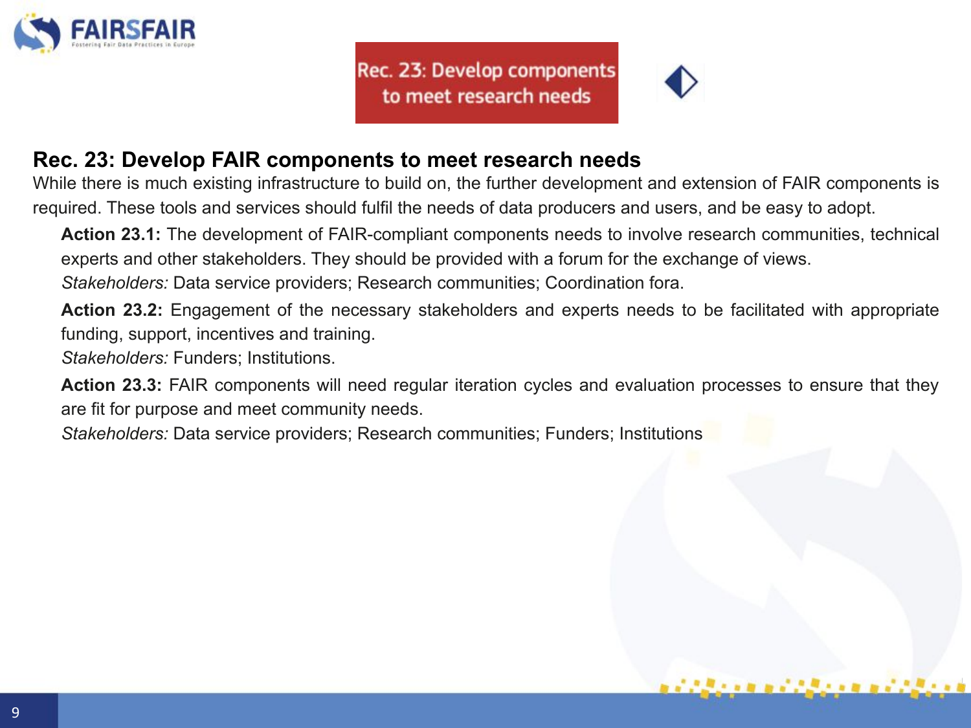

Rec. 23: Develop components to meet research needs

#### **Rec. 23: Develop FAIR components to meet research needs**

While there is much existing infrastructure to build on, the further development and extension of FAIR components is required. These tools and services should fulfil the needs of data producers and users, and be easy to adopt.

**Action 23.1:** The development of FAIR-compliant components needs to involve research communities, technical experts and other stakeholders. They should be provided with a forum for the exchange of views. *Stakeholders:* Data service providers; Research communities; Coordination fora.

**Action 23.2:** Engagement of the necessary stakeholders and experts needs to be facilitated with appropriate funding, support, incentives and training.

*Stakeholders:* Funders; Institutions.

**Action 23.3:** FAIR components will need regular iteration cycles and evaluation processes to ensure that they are fit for purpose and meet community needs.

*Stakeholders:* Data service providers; Research communities; Funders; Institutions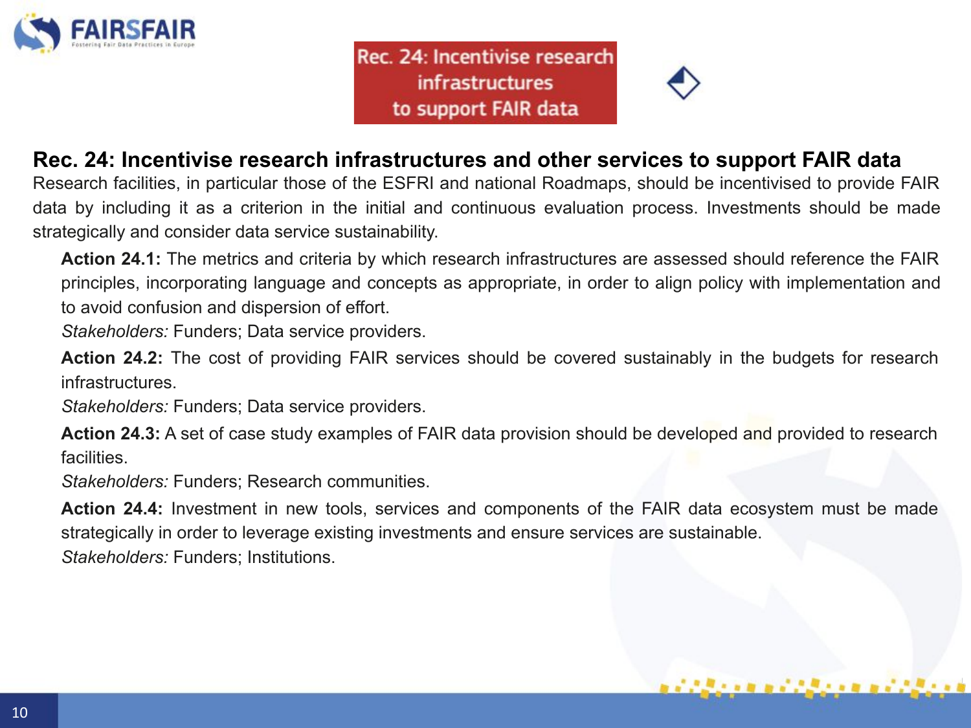

Rec. 24: Incentivise research infrastructures to support FAIR data



#### **Rec. 24: Incentivise research infrastructures and other services to support FAIR data**

Research facilities, in particular those of the ESFRI and national Roadmaps, should be incentivised to provide FAIR data by including it as a criterion in the initial and continuous evaluation process. Investments should be made strategically and consider data service sustainability.

**Action 24.1:** The metrics and criteria by which research infrastructures are assessed should reference the FAIR principles, incorporating language and concepts as appropriate, in order to align policy with implementation and to avoid confusion and dispersion of effort.

*Stakeholders:* Funders; Data service providers.

**Action 24.2:** The cost of providing FAIR services should be covered sustainably in the budgets for research infrastructures.

*Stakeholders:* Funders; Data service providers.

**Action 24.3:** A set of case study examples of FAIR data provision should be developed and provided to research facilities.

*Stakeholders:* Funders; Research communities.

**Action 24.4:** Investment in new tools, services and components of the FAIR data ecosystem must be made strategically in order to leverage existing investments and ensure services are sustainable. *Stakeholders:* Funders; Institutions.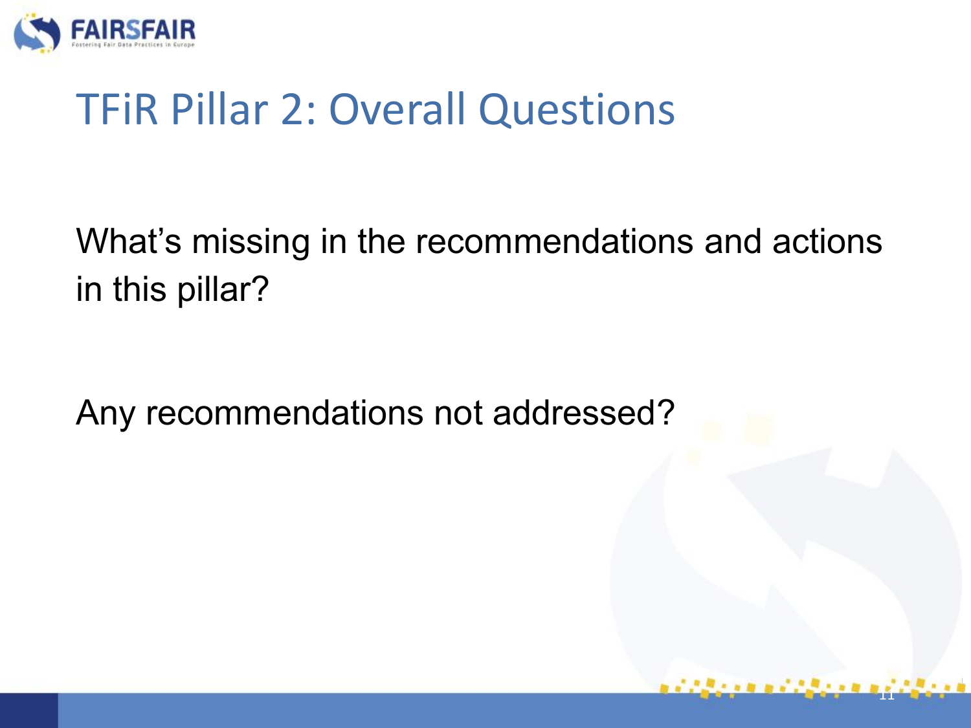

## TFiR Pillar 2: Overall Questions

What's missing in the recommendations and actions in this pillar?

11

Any recommendations not addressed?